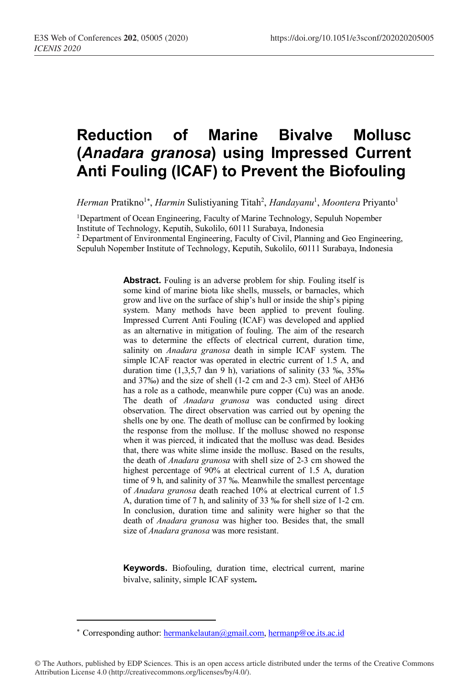# **Reduction of Marine Bivalve Mollusc (***Anadara granosa***) using Impressed Current Anti Fouling (ICAF) to Prevent the Biofouling**

Herman Pratikno<sup>1\*</sup>, *Harmin* Sulistiyaning Titah<sup>2</sup>, *Handayanu<sup>1</sup>, Moontera* Priyanto<sup>1</sup>

<sup>1</sup>Department of Ocean Engineering, Faculty of Marine Technology, Sepuluh Nopember Institute of Technology, Keputih, Sukolilo, 60111 Surabaya, Indonesia <sup>2</sup> Department of Environmental Engineering, Faculty of Civil, Planning and Geo Engineering, Sepuluh Nopember Institute of Technology, Keputih, Sukolilo, 60111 Surabaya, Indonesia

> **Abstract.** Fouling is an adverse problem for ship. Fouling itself is some kind of marine biota like shells, mussels, or barnacles, which grow and live on the surface of ship's hull or inside the ship's piping system. Many methods have been applied to prevent fouling. Impressed Current Anti Fouling (ICAF) was developed and applied as an alternative in mitigation of fouling. The aim of the research was to determine the effects of electrical current, duration time, salinity on *Anadara granosa* death in simple ICAF system. The simple ICAF reactor was operated in electric current of 1.5 A, and duration time  $(1,3,5,7)$  dan 9 h), variations of salinity  $(33\%$ <sub>0</sub>,  $35\%$ <sub>0</sub> and 37‰) and the size of shell (1-2 cm and 2-3 cm). Steel of AH36 has a role as a cathode, meanwhile pure copper (Cu) was an anode. The death of *Anadara granosa* was conducted using direct observation. The direct observation was carried out by opening the shells one by one. The death of mollusc can be confirmed by looking the response from the mollusc. If the mollusc showed no response when it was pierced, it indicated that the mollusc was dead. Besides that, there was white slime inside the mollusc. Based on the results, the death of *Anadara granosa* with shell size of 2-3 cm showed the highest percentage of 90% at electrical current of 1.5 A, duration time of 9 h, and salinity of 37 ‰. Meanwhile the smallest percentage of *Anadara granosa* death reached 10% at electrical current of 1.5 A, duration time of 7 h, and salinity of 33 ‰ for shell size of 1-2 cm. In conclusion, duration time and salinity were higher so that the death of *Anadara granosa* was higher too. Besides that, the small size of *Anadara granosa* was more resistant.

> **Keywords.** Biofouling, duration time, electrical current, marine bivalve, salinity, simple ICAF system**.**

-

© The Authors, published by EDP Sciences. This is an open access article distributed under the terms of the Creative Commons Attribution License 4.0 (http://creativecommons.org/licenses/by/4.0/).

<sup>\*</sup> Corresponding author: hermankelautan@gmail.com, hermanp@oe.its.ac.id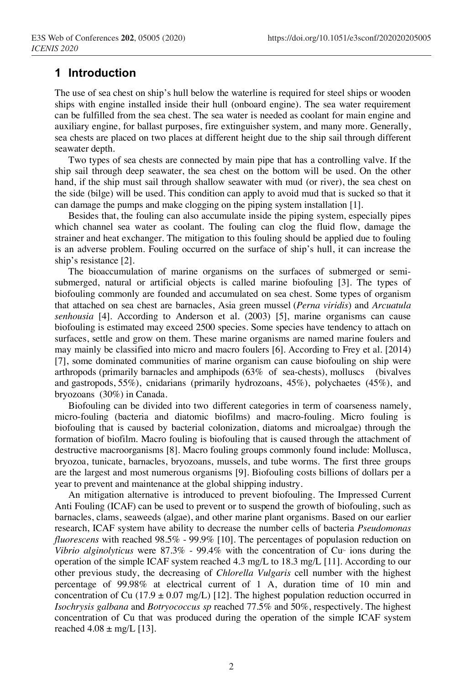# **1 Introduction**

The use of sea chest on ship's hull below the waterline is required for steel ships or wooden ships with engine installed inside their hull (onboard engine). The sea water requirement can be fulfilled from the sea chest. The sea water is needed as coolant for main engine and auxiliary engine, for ballast purposes, fire extinguisher system, and many more. Generally, sea chests are placed on two places at different height due to the ship sail through different seawater depth.

Two types of sea chests are connected by main pipe that has a controlling valve. If the ship sail through deep seawater, the sea chest on the bottom will be used. On the other hand, if the ship must sail through shallow seawater with mud (or river), the sea chest on the side (bilge) will be used. This condition can apply to avoid mud that is sucked so that it can damage the pumps and make clogging on the piping system installation [1].

Besides that, the fouling can also accumulate inside the piping system, especially pipes which channel sea water as coolant. The fouling can clog the fluid flow, damage the strainer and heat exchanger. The mitigation to this fouling should be applied due to fouling is an adverse problem. Fouling occurred on the surface of ship's hull, it can increase the ship's resistance [2].

The bioaccumulation of marine organisms on the surfaces of submerged or semisubmerged, natural or artificial objects is called marine biofouling [3]. The types of biofouling commonly are founded and accumulated on sea chest. Some types of organism that attached on sea chest are barnacles, Asia green mussel (*Perna viridis*) and *Arcuatula senhousia* [4]. According to Anderson et al. (2003) [5], marine organisms can cause biofouling is estimated may exceed 2500 species. Some species have tendency to attach on surfaces, settle and grow on them. These marine organisms are named marine foulers and may mainly be classified into micro and macro foulers [6]. According to Frey et al. [2014) [7], some dominated communities of marine organism can cause biofouling on ship were arthropods (primarily barnacles and amphipods (63% of sea-chests), molluscs (bivalves and gastropods, 55%), cnidarians (primarily hydrozoans, 45%), polychaetes (45%), and bryozoans (30%) in Canada.

Biofouling can be divided into two different categories in term of coarseness namely, micro-fouling (bacteria and diatomic biofilms) and macro-fouling. Micro fouling is biofouling that is caused by bacterial colonization, diatoms and microalgae) through the formation of biofilm. Macro fouling is biofouling that is caused through the attachment of destructive macroorganisms [8]. Macro fouling groups commonly found include: Mollusca, bryozoa, tunicate, barnacles, bryozoans, mussels, and tube worms. The first three groups are the largest and most numerous organisms [9]. Biofouling costs billions of dollars per a year to prevent and maintenance at the global shipping industry.

An mitigation alternative is introduced to prevent biofouling. The Impressed Current Anti Fouling (ICAF) can be used to prevent or to suspend the growth of biofouling, such as barnacles, clams, seaweeds (algae), and other marine plant organisms. Based on our earlier research, ICAF system have ability to decrease the number cells of bacteria *Pseudomonas fluorescens* with reached 98.5% - 99.9% [10]. The percentages of populasion reduction on *Vibrio alginolyticus* were 87.3% - 99.4% with the concentration of Cu<sup>2+</sup> ions during the operation of the simple ICAF system reached 4.3 mg/L to 18.3 mg/L [11]. According to our other previous study, the decreasing of *Chlorella Vulgaris* cell number with the highest percentage of 99.98% at electrical current of 1 A, duration time of 10 min and concentration of Cu (17.9  $\pm$  0.07 mg/L) [12]. The highest population reduction occurred in *Isochrysis galbana* and *Botryococcus sp* reached 77.5% and 50%, respectively. The highest concentration of Cu that was produced during the operation of the simple ICAF system reached  $4.08 \pm \text{mg/L}$  [13].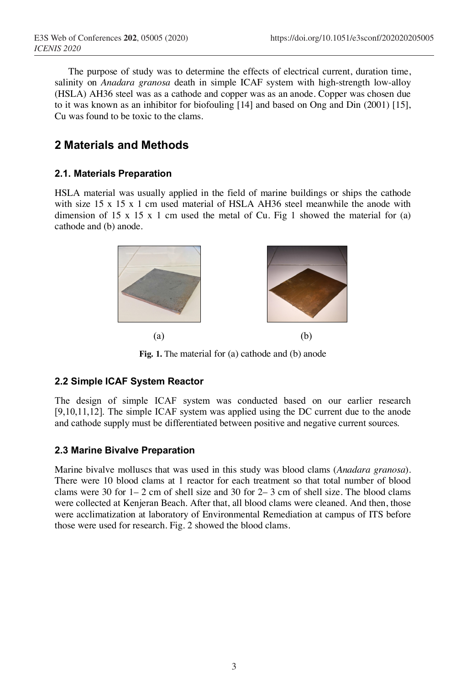The purpose of study was to determine the effects of electrical current, duration time, salinity on *Anadara granosa* death in simple ICAF system with high-strength low-alloy (HSLA) AH36 steel was as a cathode and copper was as an anode. Copper was chosen due to it was known as an inhibitor for biofouling [14] and based on Ong and Din (2001) [15], Cu was found to be toxic to the clams.

# **2 Materials and Methods**

## **2.1. Materials Preparation**

HSLA material was usually applied in the field of marine buildings or ships the cathode with size 15 x 15 x 1 cm used material of HSLA AH36 steel meanwhile the anode with dimension of 15 x 15 x 1 cm used the metal of Cu. Fig 1 showed the material for  $(a)$ cathode and (b) anode.



**Fig. 1.** The material for (a) cathode and (b) anode

## **2.2 Simple ICAF System Reactor**

The design of simple ICAF system was conducted based on our earlier research [9,10,11,12]. The simple ICAF system was applied using the DC current due to the anode and cathode supply must be differentiated between positive and negative current sources.

#### **2.3 Marine Bivalve Preparation**

Marine bivalve molluscs that was used in this study was blood clams (*Anadara granosa*). There were 10 blood clams at 1 reactor for each treatment so that total number of blood clams were 30 for  $1-2$  cm of shell size and 30 for  $2-3$  cm of shell size. The blood clams were collected at Kenjeran Beach. After that, all blood clams were cleaned. And then, those were acclimatization at laboratory of Environmental Remediation at campus of ITS before those were used for research. Fig. 2 showed the blood clams.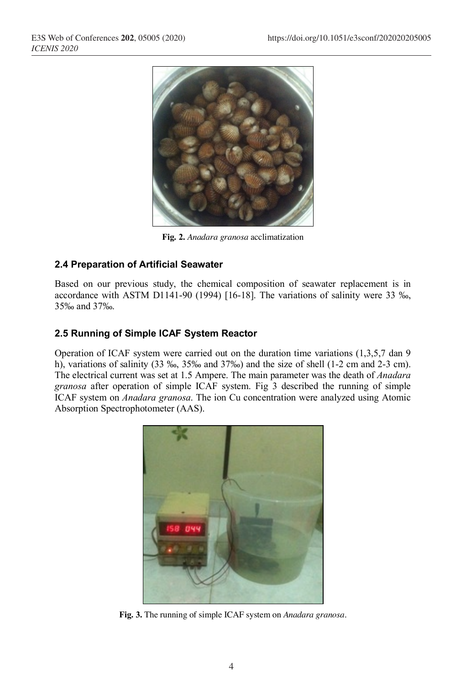

**Fig. 2.** *Anadara granosa* acclimatization

## **2.4 Preparation of Artificial Seawater**

Based on our previous study, the chemical composition of seawater replacement is in accordance with ASTM D1141-90 (1994) [16-18]. The variations of salinity were 33 ‰, 35‰ and 37‰.

## **2.5 Running of Simple ICAF System Reactor**

Operation of ICAF system were carried out on the duration time variations (1,3,5,7 dan 9 h), variations of salinity (33 ‰, 35‰ and 37‰) and the size of shell (1-2 cm and 2-3 cm). The electrical current was set at 1.5 Ampere. The main parameter was the death of *Anadara granosa* after operation of simple ICAF system. Fig 3 described the running of simple ICAF system on *Anadara granosa*. The ion Cu concentration were analyzed using Atomic Absorption Spectrophotometer (AAS).



**Fig. 3.** The running of simple ICAF system on *Anadara granosa.*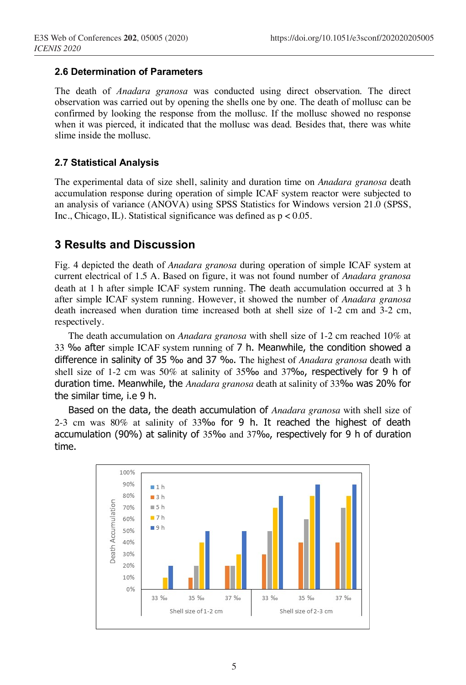#### **2.6 Determination of Parameters**

The death of *Anadara granosa* was conducted using direct observation. The direct observation was carried out by opening the shells one by one. The death of mollusc can be confirmed by looking the response from the mollusc. If the mollusc showed no response when it was pierced, it indicated that the mollusc was dead. Besides that, there was white slime inside the mollusc.

#### **2.7 Statistical Analysis**

The experimental data of size shell, salinity and duration time on *Anadara granosa* death accumulation response during operation of simple ICAF system reactor were subjected to an analysis of variance (ANOVA) using SPSS Statistics for Windows version 21.0 (SPSS, Inc., Chicago, IL). Statistical significance was defined as  $p < 0.05$ .

# **3 Results and Discussion**

Fig. 4 depicted the death of *Anadara granosa* during operation of simple ICAF system at current electrical of 1.5 A. Based on figure, it was not found number of *Anadara granosa*  death at 1 h after simple ICAF system running. The death accumulation occurred at 3 h after simple ICAF system running. However, it showed the number of *Anadara granosa* death increased when duration time increased both at shell size of 1-2 cm and 3-2 cm, respectively.

The death accumulation on *Anadara granosa* with shell size of 1-2 cm reached 10% at 33 ‰ after simple ICAF system running of 7 h. Meanwhile, the condition showed a difference in salinity of 35 ‰ and 37 ‰. The highest of *Anadara granosa* death with shell size of 1-2 cm was 50% at salinity of 35‰ and 37‰, respectively for 9 h of duration time. Meanwhile, the *Anadara granosa* death at salinity of 33‰ was 20% for the similar time, i.e 9 h.

Based on the data, the death accumulation of *Anadara granosa* with shell size of 2-3 cm was 80% at salinity of 33‰ for 9 h. It reached the highest of death accumulation (90%) at salinity of 35‰ and 37‰, respectively for 9 h of duration time.

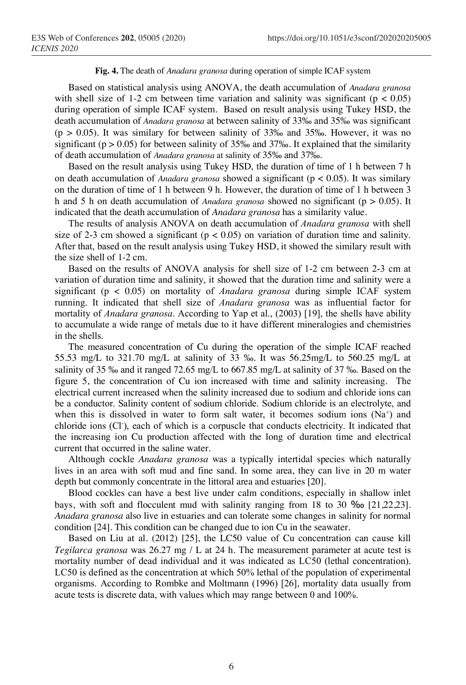#### **Fig. 4.** The death of *Anadara granosa* during operation of simple ICAF system

Based on statistical analysis using ANOVA, the death accumulation of *Anadara granosa* with shell size of 1-2 cm between time variation and salinity was significant ( $p < 0.05$ ) during operation of simple ICAF system. Based on result analysis using Tukey HSD, the death accumulation of *Anadara granosa* at between salinity of 33‰ and 35‰ was significant  $(p > 0.05)$ . It was similary for between salinity of 33‰ and 35‰. However, it was no significant ( $p > 0.05$ ) for between salinity of 35‰ and 37‰. It explained that the similarity of death accumulation of *Anadara granosa* at salinity of 35‰ and 37‰.

Based on the result analysis using Tukey HSD, the duration of time of 1 h between 7 h on death accumulation of *Anadara granosa* showed a significant (p < 0.05). It was similary on the duration of time of 1 h between 9 h. However, the duration of time of 1 h between 3 h and 5 h on death accumulation of *Anadara granosa* showed no significant (p > 0.05). It indicated that the death accumulation of *Anadara granosa* has a similarity value.

The results of analysis ANOVA on death accumulation of *Anadara granosa* with shell size of 2-3 cm showed a significant ( $p < 0.05$ ) on variation of duration time and salinity. After that, based on the result analysis using Tukey HSD, it showed the similary result with the size shell of 1-2 cm.

Based on the results of ANOVA analysis for shell size of 1-2 cm between 2-3 cm at variation of duration time and salinity, it showed that the duration time and salinity were a significant (p < 0.05) on mortality of *Anadara granosa* during simple ICAF system running. It indicated that shell size of *Anadara granosa* was as influential factor for mortality of *Anadara granosa*. According to Yap et al., (2003) [19], the shells have ability to accumulate a wide range of metals due to it have different mineralogies and chemistries in the shells.

The measured concentration of Cu during the operation of the simple ICAF reached 55.53 mg/L to 321.70 mg/L at salinity of 33 ‰. It was 56.25mg/L to 560.25 mg/L at salinity of 35 ‰ and it ranged 72.65 mg/L to 667.85 mg/L at salinity of 37 ‰. Based on the figure 5, the concentration of Cu ion increased with time and salinity increasing. The electrical current increased when the salinity increased due to sodium and chloride ions can be a conductor. Salinity content of sodium chloride. Sodium chloride is an electrolyte, and when this is dissolved in water to form salt water, it becomes sodium ions  $(Na^+)$  and chloride ions (Cl<sup>-</sup>), each of which is a corpuscle that conducts electricity. It indicated that the increasing ion Cu production affected with the long of duration time and electrical current that occurred in the saline water.

Although cockle *Anadara granosa* was a typically intertidal species which naturally lives in an area with soft mud and fine sand. In some area, they can live in 20 m water depth but commonly concentrate in the littoral area and estuaries [20].

Blood cockles can have a best live under calm conditions, especially in shallow inlet bays, with soft and flocculent mud with salinity ranging from 18 to 30 ‰ [21,22,23]. *Anadara granosa* also live in estuaries and can tolerate some changes in salinity for normal condition [24]. This condition can be changed due to ion Cu in the seawater.

Based on Liu at al. (2012) [25], the LC50 value of Cu concentration can cause kill *Tegilarca granosa* was 26.27 mg / L at 24 h. The measurement parameter at acute test is mortality number of dead individual and it was indicated as LC50 (lethal concentration). LC50 is defined as the concentration at which 50% lethal of the population of experimental organisms. According to Rombke and Moltmann (1996) [26], mortality data usually from acute tests is discrete data, with values which may range between 0 and 100%.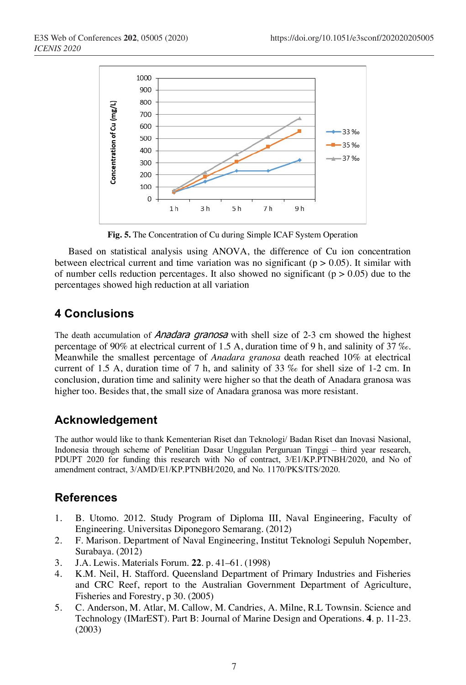

**Fig. 5.** The Concentration of Cu during Simple ICAF System Operation

Based on statistical analysis using ANOVA, the difference of Cu ion concentration between electrical current and time variation was no significant ( $p > 0.05$ ). It similar with of number cells reduction percentages. It also showed no significant ( $p > 0.05$ ) due to the percentages showed high reduction at all variation

# **4 Conclusions**

The death accumulation of *Anadara granosa* with shell size of  $2-3$  cm showed the highest percentage of 90% at electrical current of 1.5 A, duration time of 9 h, and salinity of 37 ‰. Meanwhile the smallest percentage of *Anadara granosa* death reached 10% at electrical current of 1.5 A, duration time of 7 h, and salinity of 33 ‰ for shell size of 1-2 cm. In conclusion, duration time and salinity were higher so that the death of Anadara granosa was higher too. Besides that, the small size of Anadara granosa was more resistant.

# **Acknowledgement**

The author would like to thank Kementerian Riset dan Teknologi/ Badan Riset dan Inovasi Nasional, Indonesia through scheme of Penelitian Dasar Unggulan Perguruan Tinggi – third year research, PDUPT 2020 for funding this research with No of contract, 3/E1/KP.PTNBH/2020, and No of amendment contract, 3/AMD/E1/KP.PTNBH/2020, and No. 1170/PKS/ITS/2020.

# **References**

- 1. B. Utomo. 2012. Study Program of Diploma III, Naval Engineering, Faculty of Engineering. Universitas Diponegoro Semarang. (2012)
- 2. F. Marison. Department of Naval Engineering, Institut Teknologi Sepuluh Nopember, Surabaya. (2012)
- 3. J.A. Lewis. Materials Forum. **22**. p. 41–61. (1998)
- 4. K.M. Neil, H. Stafford. Queensland Department of Primary Industries and Fisheries and CRC Reef, report to the Australian Government Department of Agriculture, Fisheries and Forestry, p 30. (2005)
- 5. C. Anderson, M. Atlar, M. Callow, M. Candries, A. Milne, R.L Townsin. Science and Technology (IMarEST). Part B: Journal of Marine Design and Operations. **4**. p. 11-23. (2003)